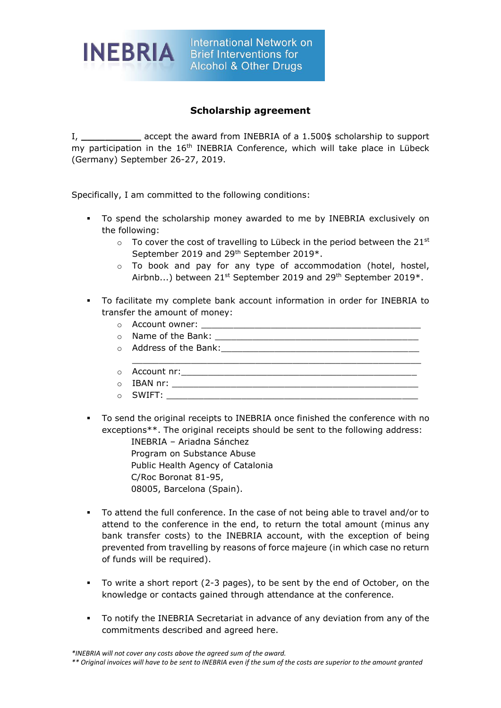

## **Scholarship agreement**

I, **\_\_\_\_\_\_\_\_\_\_** accept the award from INEBRIA of a 1.500\$ scholarship to support my participation in the 16<sup>th</sup> INEBRIA Conference, which will take place in Lübeck (Germany) September 26-27, 2019.

Specifically, I am committed to the following conditions:

- To spend the scholarship money awarded to me by INEBRIA exclusively on the following:
	- $\circ$  To cover the cost of travelling to Lübeck in the period between the 21st September 2019 and 29th September 2019\*.
	- o To book and pay for any type of accommodation (hotel, hostel, Airbnb...) between 21<sup>st</sup> September 2019 and 29<sup>th</sup> September 2019\*.
- To facilitate my complete bank account information in order for INEBRIA to transfer the amount of money:
	- o Account owner: \_\_\_\_\_\_\_\_\_\_\_\_\_\_\_\_\_\_\_\_\_\_\_\_\_\_\_\_\_\_\_\_\_\_\_\_\_\_\_\_\_
	- $\circ$  Name of the Bank:
	- $\circ$  Address of the Bank:  $\circ$
	- \_\_\_\_\_\_\_\_\_\_\_\_\_\_\_\_\_\_\_\_\_\_\_\_\_\_\_\_\_\_\_\_\_\_\_\_\_\_\_\_\_\_\_\_\_\_\_\_\_\_\_\_\_\_  $\circ$  Account nr:
	- o IBAN nr: \_\_\_\_\_\_\_\_\_\_\_\_\_\_\_\_\_\_\_\_\_\_\_\_\_\_\_\_\_\_\_\_\_\_\_\_\_\_\_\_\_\_\_\_\_\_
	- $\circ$  SWIFT:
- To send the original receipts to INEBRIA once finished the conference with no exceptions\*\*. The original receipts should be sent to the following address:
	- INEBRIA Ariadna Sánchez Program on Substance Abuse Public Health Agency of Catalonia C/Roc Boronat 81-95, 08005, Barcelona (Spain).
- To attend the full conference. In the case of not being able to travel and/or to attend to the conference in the end, to return the total amount (minus any bank transfer costs) to the INEBRIA account, with the exception of being prevented from travelling by reasons of force majeure (in which case no return of funds will be required).
- To write a short report (2-3 pages), to be sent by the end of October, on the knowledge or contacts gained through attendance at the conference.
- To notify the INEBRIA Secretariat in advance of any deviation from any of the commitments described and agreed here.

*<sup>\*</sup>INEBRIA will not cover any costs above the agreed sum of the award.*

*<sup>\*\*</sup> Original invoices will have to be sent to INEBRIA even if the sum of the costs are superior to the amount granted*